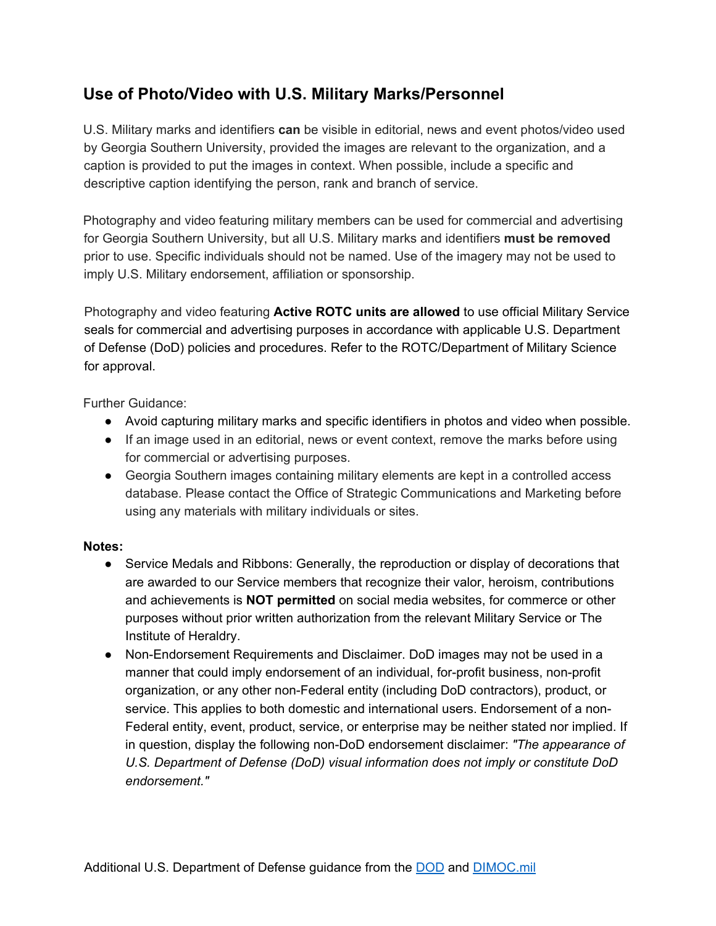## **Use of Photo/Video with U.S. Military Marks/Personnel**

U.S. Military marks and identifiers **can** be visible in editorial, news and event photos/video used by Georgia Southern University, provided the images are relevant to the organization, and a caption is provided to put the images in context. When possible, include a specific and descriptive caption identifying the person, rank and branch of service.

Photography and video featuring military members can be used for commercial and advertising for Georgia Southern University, but all U.S. Military marks and identifiers **must be removed** prior to use. Specific individuals should not be named. Use of the imagery may not be used to imply U.S. Military endorsement, affiliation or sponsorship.

Photography and video featuring **Active ROTC units are allowed** to use official Military Service seals for commercial and advertising purposes in accordance with applicable U.S. Department of Defense (DoD) policies and procedures. Refer to the ROTC/Department of Military Science for approval.

Further Guidance:

- Avoid capturing military marks and specific identifiers in photos and video when possible.
- If an image used in an editorial, news or event context, remove the marks before using for commercial or advertising purposes.
- Georgia Southern images containing military elements are kept in a controlled access database. Please contact the Office of Strategic Communications and Marketing before using any materials with military individuals or sites.

## **Notes:**

- Service Medals and Ribbons: Generally, the reproduction or display of decorations that are awarded to our Service members that recognize their valor, heroism, contributions and achievements is **NOT permitted** on social media websites, for commerce or other purposes without prior written authorization from the relevant Military Service or The Institute of Heraldry.
- Non-Endorsement Requirements and Disclaimer. DoD images may not be used in a manner that could imply endorsement of an individual, for-profit business, non-profit organization, or any other non-Federal entity (including DoD contractors), product, or service. This applies to both domestic and international users. Endorsement of a non-Federal entity, event, product, service, or enterprise may be neither stated nor implied. If in question, display the following non-DoD endorsement disclaimer: *"The appearance of U.S. Department of Defense (DoD) visual information does not imply or constitute DoD endorsement."*